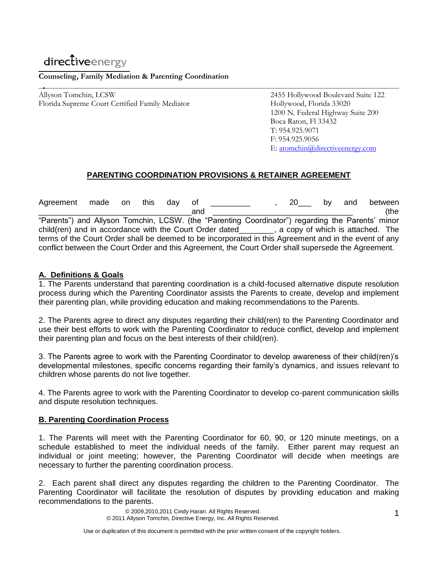# directiveenergy

### **Counseling, Family Mediation & Parenting Coordination**

Allyson Tomchin, LCSW 2455 Hollywood Boulevard Suite 122 Florida Supreme Court Certified Family Mediator Hollywood, Florida 33020

1200 N. Federal Highway Suite 200 Boca Raton, Fl 33432 T: 954.925.9071 F: 954.925.9056 E: [atomchin@directiveenergy.com](mailto:atomchin@directiveenergy.com)

# **PARENTING COORDINATION PROVISIONS & RETAINER AGREEMENT**

Agreement made on this day of \_\_\_\_\_\_\_\_\_\_ , 20\_\_\_ by and between \_\_\_\_\_\_\_\_\_\_\_\_\_\_\_\_\_\_\_\_\_\_\_\_\_\_\_\_\_\_\_\_\_\_\_and \_\_\_\_\_\_\_\_\_\_\_\_\_\_\_\_\_\_\_\_\_\_\_\_\_\_\_\_\_\_\_\_ (the "Parents") and Allyson Tomchin, LCSW. (the "Parenting Coordinator") regarding the Parents' minor child(ren) and in accordance with the Court Order dated\_\_\_\_\_\_\_\_, a copy of which is attached. The terms of the Court Order shall be deemed to be incorporated in this Agreement and in the event of any conflict between the Court Order and this Agreement, the Court Order shall supersede the Agreement.

## **A. Definitions & Goals**

1. The Parents understand that parenting coordination is a child-focused alternative dispute resolution process during which the Parenting Coordinator assists the Parents to create, develop and implement their parenting plan, while providing education and making recommendations to the Parents.

2. The Parents agree to direct any disputes regarding their child(ren) to the Parenting Coordinator and use their best efforts to work with the Parenting Coordinator to reduce conflict, develop and implement their parenting plan and focus on the best interests of their child(ren).

3. The Parents agree to work with the Parenting Coordinator to develop awareness of their child(ren)'s developmental milestones, specific concerns regarding their family's dynamics, and issues relevant to children whose parents do not live together.

4. The Parents agree to work with the Parenting Coordinator to develop co-parent communication skills and dispute resolution techniques.

#### **B. Parenting Coordination Process**

1. The Parents will meet with the Parenting Coordinator for 60, 90, or 120 minute meetings, on a schedule established to meet the individual needs of the family. Either parent may request an individual or joint meeting; however, the Parenting Coordinator will decide when meetings are necessary to further the parenting coordination process.

2. Each parent shall direct any disputes regarding the children to the Parenting Coordinator. The Parenting Coordinator will facilitate the resolution of disputes by providing education and making recommendations to the parents.

> © 2009,2010,2011 Cindy Harari. All Rights Reserved. © 2011 Allyson Tomchin, Directive Energy, Inc. All Rights Reserved.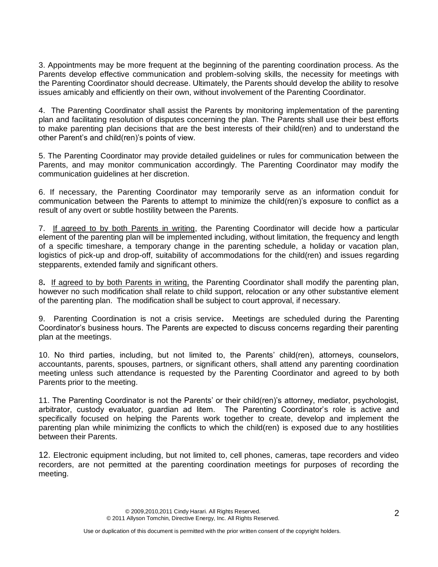3. Appointments may be more frequent at the beginning of the parenting coordination process. As the Parents develop effective communication and problem-solving skills, the necessity for meetings with the Parenting Coordinator should decrease. Ultimately, the Parents should develop the ability to resolve issues amicably and efficiently on their own, without involvement of the Parenting Coordinator.

4. The Parenting Coordinator shall assist the Parents by monitoring implementation of the parenting plan and facilitating resolution of disputes concerning the plan. The Parents shall use their best efforts to make parenting plan decisions that are the best interests of their child(ren) and to understand the other Parent's and child(ren)'s points of view.

5. The Parenting Coordinator may provide detailed guidelines or rules for communication between the Parents, and may monitor communication accordingly. The Parenting Coordinator may modify the communication guidelines at her discretion.

6. If necessary, the Parenting Coordinator may temporarily serve as an information conduit for communication between the Parents to attempt to minimize the child(ren)'s exposure to conflict as a result of any overt or subtle hostility between the Parents.

7. If agreed to by both Parents in writing, the Parenting Coordinator will decide how a particular element of the parenting plan will be implemented including, without limitation, the frequency and length of a specific timeshare, a temporary change in the parenting schedule, a holiday or vacation plan, logistics of pick-up and drop-off, suitability of accommodations for the child(ren) and issues regarding stepparents, extended family and significant others.

8**.** If agreed to by both Parents in writing, the Parenting Coordinator shall modify the parenting plan, however no such modification shall relate to child support, relocation or any other substantive element of the parenting plan. The modification shall be subject to court approval, if necessary.

9. Parenting Coordination is not a crisis service**.** Meetings are scheduled during the Parenting Coordinator's business hours. The Parents are expected to discuss concerns regarding their parenting plan at the meetings.

10. No third parties, including, but not limited to, the Parents' child(ren), attorneys, counselors, accountants, parents, spouses, partners, or significant others, shall attend any parenting coordination meeting unless such attendance is requested by the Parenting Coordinator and agreed to by both Parents prior to the meeting.

11. The Parenting Coordinator is not the Parents' or their child(ren)'s attorney, mediator, psychologist, arbitrator, custody evaluator, guardian ad litem. The Parenting Coordinator's role is active and specifically focused on helping the Parents work together to create, develop and implement the parenting plan while minimizing the conflicts to which the child(ren) is exposed due to any hostilities between their Parents.

12. Electronic equipment including, but not limited to, cell phones, cameras, tape recorders and video recorders, are not permitted at the parenting coordination meetings for purposes of recording the meeting.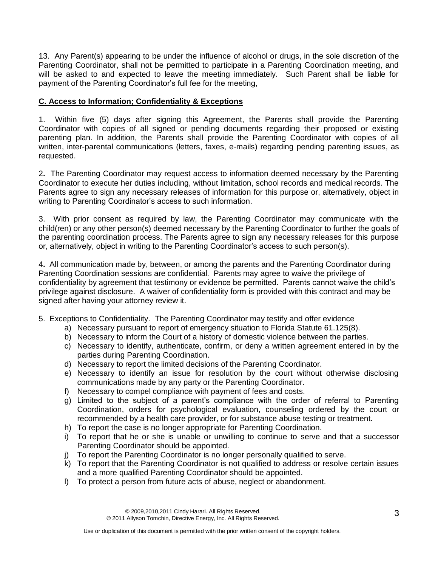13. Any Parent(s) appearing to be under the influence of alcohol or drugs, in the sole discretion of the Parenting Coordinator, shall not be permitted to participate in a Parenting Coordination meeting, and will be asked to and expected to leave the meeting immediately. Such Parent shall be liable for payment of the Parenting Coordinator's full fee for the meeting,

# **C. Access to Information; Confidentiality & Exceptions**

1. Within five (5) days after signing this Agreement, the Parents shall provide the Parenting Coordinator with copies of all signed or pending documents regarding their proposed or existing parenting plan. In addition, the Parents shall provide the Parenting Coordinator with copies of all written, inter-parental communications (letters, faxes, e-mails) regarding pending parenting issues, as requested.

2**.** The Parenting Coordinator may request access to information deemed necessary by the Parenting Coordinator to execute her duties including, without limitation, school records and medical records. The Parents agree to sign any necessary releases of information for this purpose or, alternatively, object in writing to Parenting Coordinator's access to such information.

3. With prior consent as required by law, the Parenting Coordinator may communicate with the child(ren) or any other person(s) deemed necessary by the Parenting Coordinator to further the goals of the parenting coordination process. The Parents agree to sign any necessary releases for this purpose or, alternatively, object in writing to the Parenting Coordinator's access to such person(s).

4**.** All communication made by, between, or among the parents and the Parenting Coordinator during Parenting Coordination sessions are confidential. Parents may agree to waive the privilege of confidentiality by agreement that testimony or evidence be permitted. Parents cannot waive the child's privilege against disclosure. A waiver of confidentiality form is provided with this contract and may be signed after having your attorney review it.

- 5. Exceptions to Confidentiality. The Parenting Coordinator may testify and offer evidence
	- a) Necessary pursuant to report of emergency situation to Florida Statute 61.125(8).
	- b) Necessary to inform the Court of a history of domestic violence between the parties.
	- c) Necessary to identify, authenticate, confirm, or deny a written agreement entered in by the parties during Parenting Coordination.
	- d) Necessary to report the limited decisions of the Parenting Coordinator.
	- e) Necessary to identify an issue for resolution by the court without otherwise disclosing communications made by any party or the Parenting Coordinator.
	- f) Necessary to compel compliance with payment of fees and costs.
	- g) Limited to the subject of a parent's compliance with the order of referral to Parenting Coordination, orders for psychological evaluation, counseling ordered by the court or recommended by a health care provider, or for substance abuse testing or treatment.
	- h) To report the case is no longer appropriate for Parenting Coordination.
	- i) To report that he or she is unable or unwilling to continue to serve and that a successor Parenting Coordinator should be appointed.
	- j) To report the Parenting Coordinator is no longer personally qualified to serve.
	- k) To report that the Parenting Coordinator is not qualified to address or resolve certain issues and a more qualified Parenting Coordinator should be appointed.
	- l) To protect a person from future acts of abuse, neglect or abandonment.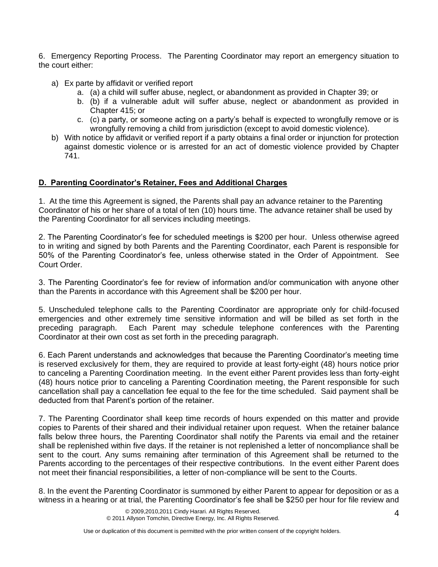6. Emergency Reporting Process. The Parenting Coordinator may report an emergency situation to the court either:

- a) Ex parte by affidavit or verified report
	- a. (a) a child will suffer abuse, neglect, or abandonment as provided in Chapter 39; or
	- b. (b) if a vulnerable adult will suffer abuse, neglect or abandonment as provided in Chapter 415; or
	- c. (c) a party, or someone acting on a party's behalf is expected to wrongfully remove or is wrongfully removing a child from jurisdiction (except to avoid domestic violence).
- b) With notice by affidavit or verified report if a party obtains a final order or injunction for protection against domestic violence or is arrested for an act of domestic violence provided by Chapter 741.

## **D. Parenting Coordinator's Retainer, Fees and Additional Charges**

1. At the time this Agreement is signed, the Parents shall pay an advance retainer to the Parenting Coordinator of his or her share of a total of ten (10) hours time. The advance retainer shall be used by the Parenting Coordinator for all services including meetings.

2. The Parenting Coordinator's fee for scheduled meetings is \$200 per hour. Unless otherwise agreed to in writing and signed by both Parents and the Parenting Coordinator, each Parent is responsible for 50% of the Parenting Coordinator's fee, unless otherwise stated in the Order of Appointment. See Court Order.

3. The Parenting Coordinator's fee for review of information and/or communication with anyone other than the Parents in accordance with this Agreement shall be \$200 per hour.

5. Unscheduled telephone calls to the Parenting Coordinator are appropriate only for child-focused emergencies and other extremely time sensitive information and will be billed as set forth in the preceding paragraph. Each Parent may schedule telephone conferences with the Parenting Coordinator at their own cost as set forth in the preceding paragraph.

6. Each Parent understands and acknowledges that because the Parenting Coordinator's meeting time is reserved exclusively for them, they are required to provide at least forty-eight (48) hours notice prior to canceling a Parenting Coordination meeting. In the event either Parent provides less than forty-eight (48) hours notice prior to canceling a Parenting Coordination meeting, the Parent responsible for such cancellation shall pay a cancellation fee equal to the fee for the time scheduled. Said payment shall be deducted from that Parent's portion of the retainer.

7. The Parenting Coordinator shall keep time records of hours expended on this matter and provide copies to Parents of their shared and their individual retainer upon request. When the retainer balance falls below three hours, the Parenting Coordinator shall notify the Parents via email and the retainer shall be replenished within five days. If the retainer is not replenished a letter of noncompliance shall be sent to the court. Any sums remaining after termination of this Agreement shall be returned to the Parents according to the percentages of their respective contributions. In the event either Parent does not meet their financial responsibilities, a letter of non-compliance will be sent to the Courts.

8. In the event the Parenting Coordinator is summoned by either Parent to appear for deposition or as a witness in a hearing or at trial, the Parenting Coordinator's fee shall be \$250 per hour for file review and